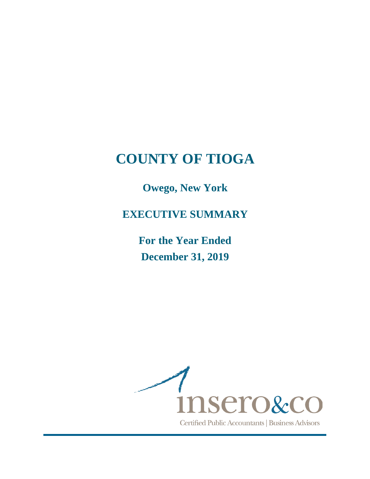**Owego, New York**

**EXECUTIVE SUMMARY**

**For the Year Ended December 31, 2019** 

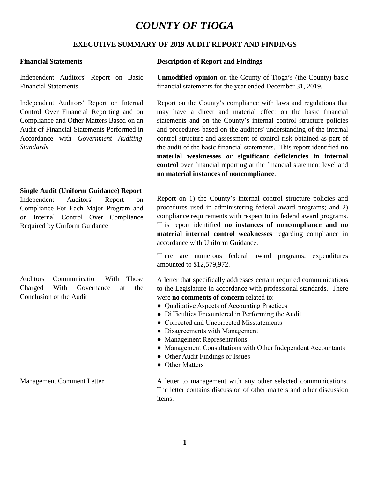### **EXECUTIVE SUMMARY OF 2019 AUDIT REPORT AND FINDINGS**

Independent Auditors' Report on Basic Financial Statements

Independent Auditors' Report on Internal Control Over Financial Reporting and on Compliance and Other Matters Based on an Audit of Financial Statements Performed in Accordance with *Government Auditing Standards*

#### **Single Audit (Uniform Guidance) Report**

Independent Auditors' Report Compliance For Each Major Program and on Internal Control Over Compliance Required by Uniform Guidance

Auditors' Communication With Those Charged With Governance at the Conclusion of the Audit

#### **Financial Statements Description of Report and Findings**

**Unmodified opinion** on the County of Tioga's (the County) basic financial statements for the year ended December 31, 2019.

Report on the County's compliance with laws and regulations that may have a direct and material effect on the basic financial statements and on the County's internal control structure policies and procedures based on the auditors' understanding of the internal control structure and assessment of control risk obtained as part of the audit of the basic financial statements. This report identified **no material weaknesses or significant deficiencies in internal control** over financial reporting at the financial statement level and **no material instances of noncompliance**.

Report on 1) the County's internal control structure policies and procedures used in administering federal award programs; and 2) compliance requirements with respect to its federal award programs. This report identified **no instances of noncompliance and no material internal control weaknesses** regarding compliance in accordance with Uniform Guidance.

There are numerous federal award programs; expenditures amounted to \$12,579,972.

A letter that specifically addresses certain required communications to the Legislature in accordance with professional standards. There were **no comments of concern** related to:

- Qualitative Aspects of Accounting Practices
- Difficulties Encountered in Performing the Audit
- Corrected and Uncorrected Misstatements
- Disagreements with Management
- Management Representations
- Management Consultations with Other Independent Accountants
- Other Audit Findings or Issues
- Other Matters

Management Comment Letter A letter A letter to management with any other selected communications. The letter contains discussion of other matters and other discussion items.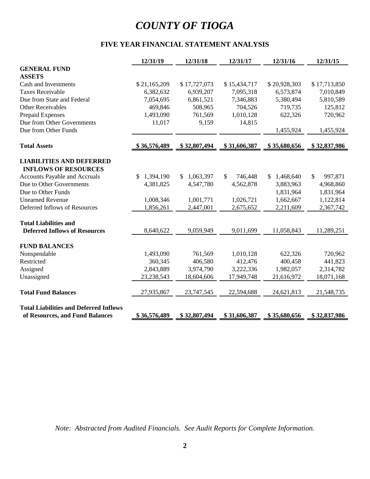### **FIVE YEAR FINANCIAL STATEMENT ANALYSIS**

|                                               | 12/31/19                    | 12/31/18     | 12/31/17      | 12/31/16                   | 12/31/15                |
|-----------------------------------------------|-----------------------------|--------------|---------------|----------------------------|-------------------------|
| <b>GENERAL FUND</b>                           |                             |              |               |                            |                         |
| <b>ASSETS</b>                                 |                             |              |               |                            |                         |
| Cash and Investments                          | \$21,165,209                | \$17,727,073 | \$15,434,717  | \$20,928,303               | \$17,713,850            |
| <b>Taxes Receivable</b>                       | 6,382,632                   | 6,939,207    | 7,095,318     | 6,573,874                  | 7,010,849               |
| Due from State and Federal                    | 7,054,695                   | 6,861,521    | 7,346,883     | 5,380,494                  | 5,810,589               |
| <b>Other Receivables</b>                      | 469,846                     | 508,965      | 704,526       | 719,735                    | 125,812                 |
| Prepaid Expenses                              | 1,493,090                   | 761,569      | 1,010,128     | 622,326                    | 720,962                 |
| Due from Other Governments                    | 11,017                      | 9,159        | 14,815        |                            |                         |
| Due from Other Funds                          |                             |              |               | 1,455,924                  | 1,455,924               |
| <b>Total Assets</b>                           | \$36,576,489                | \$32,807,494 | \$31,606,387  | \$35,680,656               | \$32,837,986            |
| <b>LIABILITIES AND DEFERRED</b>               |                             |              |               |                            |                         |
| <b>INFLOWS OF RESOURCES</b>                   |                             |              |               |                            |                         |
| <b>Accounts Payable and Accruals</b>          | 1,394,190<br>$\mathbb{S}^-$ | \$1,063,397  | 746,448<br>\$ | 1,468,640<br><sup>\$</sup> | $\mathbb{S}$<br>997,871 |
| Due to Other Governments                      | 4,381,825                   | 4,547,780    | 4,562,878     | 3,883,963                  | 4,968,860               |
| Due to Other Funds                            |                             |              |               | 1,831,964                  | 1,831,964               |
| <b>Unearned Revenue</b>                       | 1,008,346                   | 1,001,771    | 1,026,721     | 1,662,667                  | 1,122,814               |
| Deferred Inflows of Resources                 | 1,856,261                   | 2,447,001    | 2,675,652     | 2,211,609                  | 2,367,742               |
| <b>Total Liabilities and</b>                  |                             |              |               |                            |                         |
| <b>Deferred Inflows of Resources</b>          | 8,640,622                   | 9,059,949    | 9,011,699     | 11,058,843                 | 11,289,251              |
| <b>FUND BALANCES</b>                          |                             |              |               |                            |                         |
| Nonspendable                                  | 1,493,090                   | 761,569      | 1,010,128     | 622,326                    | 720,962                 |
| Restricted                                    | 360,345                     | 406,580      | 412,476       | 400,458                    | 441,823                 |
| Assigned                                      | 2,843,889                   | 3,974,790    | 3,222,336     | 1,982,057                  | 2,314,782               |
| Unassigned                                    | 23,238,543                  | 18,604,606   | 17,949,748    | 21,616,972                 | 18,071,168              |
| <b>Total Fund Balances</b>                    | 27,935,867                  | 23,747,545   | 22,594,688    | 24,621,813                 | 21,548,735              |
| <b>Total Liabilities and Deferred Inflows</b> |                             |              |               |                            |                         |
| of Resources, and Fund Balances               | \$36,576,489                | \$32,807,494 | \$31,606,387  | \$35,680,656               | \$32,837,986            |

*Note: Abstracted from Audited Financials. See Audit Reports for Complete Information.*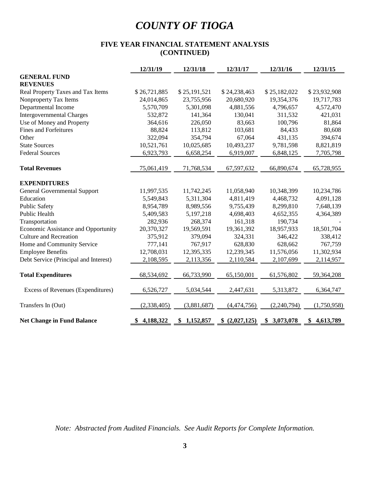### **FIVE YEAR FINANCIAL STATEMENT ANALYSIS (CONTINUED)**

|                                       | 12/31/19         | 12/31/18     | 12/31/17       | 12/31/16     | 12/31/15     |
|---------------------------------------|------------------|--------------|----------------|--------------|--------------|
| <b>GENERAL FUND</b>                   |                  |              |                |              |              |
| <b>REVENUES</b>                       |                  |              |                |              |              |
| Real Property Taxes and Tax Items     | \$26,721,885     | \$25,191,521 | \$24,238,463   | \$25,182,022 | \$23,932,908 |
| Nonproperty Tax Items                 | 24,014,865       | 23,755,956   | 20,680,920     | 19,354,376   | 19,717,783   |
| Departmental Income                   | 5,570,709        | 5,301,098    | 4,881,556      | 4,796,657    | 4,572,470    |
| <b>Intergovernmental Charges</b>      | 532,872          | 141,364      | 130,041        | 311,532      | 421,031      |
| Use of Money and Property             | 364,616          | 226,050      | 83,663         | 100,796      | 81,864       |
| <b>Fines and Forfeitures</b>          | 88,824           | 113,812      | 103,681        | 84,433       | 80,608       |
| Other                                 | 322,094          | 354,794      | 67,064         | 431,135      | 394,674      |
| <b>State Sources</b>                  | 10,521,761       | 10,025,685   | 10,493,237     | 9,781,598    | 8,821,819    |
| <b>Federal Sources</b>                | 6,923,793        | 6,658,254    | 6,919,007      | 6,848,125    | 7,705,798    |
| <b>Total Revenues</b>                 | 75,061,419       | 71,768,534   | 67,597,632     | 66,890,674   | 65,728,955   |
| <b>EXPENDITURES</b>                   |                  |              |                |              |              |
| <b>General Governmental Support</b>   | 11,997,535       | 11,742,245   | 11,058,940     | 10,348,399   | 10,234,786   |
| Education                             | 5,549,843        | 5,311,304    | 4,811,419      | 4,468,732    | 4,091,128    |
| <b>Public Safety</b>                  | 8,954,789        | 8,989,556    | 9,755,439      | 8,299,810    | 7,648,139    |
| <b>Public Health</b>                  | 5,409,583        | 5,197,218    | 4,698,403      | 4,652,355    | 4,364,389    |
| Transportation                        | 282,936          | 268,374      | 161,318        | 190,734      |              |
| Economic Assistance and Opportunity   | 20,370,327       | 19,569,591   | 19,361,392     | 18,957,933   | 18,501,704   |
| <b>Culture and Recreation</b>         | 375,912          | 379,094      | 324,331        | 346,422      | 338,412      |
| Home and Community Service            | 777,141          | 767,917      | 628,830        | 628,662      | 767,759      |
| <b>Employee Benefits</b>              | 12,708,031       | 12,395,335   | 12,239,345     | 11,576,056   | 11,302,934   |
| Debt Service (Principal and Interest) | 2,108,595        | 2,113,356    | 2,110,584      | 2,107,699    | 2,114,957    |
| <b>Total Expenditures</b>             | 68,534,692       | 66,733,990   | 65,150,001     | 61,576,802   | 59,364,208   |
| Excess of Revenues (Expenditures)     | 6,526,727        | 5,034,544    | 2,447,631      | 5,313,872    | 6,364,747    |
| Transfers In (Out)                    | (2,338,405)      | (3,881,687)  | (4,474,756)    | (2,240,794)  | (1,750,958)  |
| <b>Net Change in Fund Balance</b>     | 4,188,322<br>SS. | \$1,152,857  | \$ (2,027,125) | \$3,073,078  | \$4,613,789  |

*Note: Abstracted from Audited Financials. See Audit Reports for Complete Information.*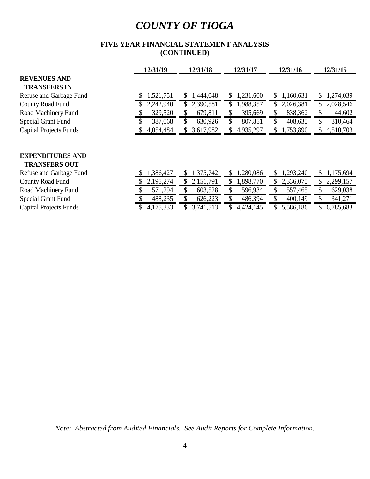### **FIVE YEAR FINANCIAL STATEMENT ANALYSIS (CONTINUED)**

|                                                 | 12/31/19  | 12/31/18       | 12/31/17       | 12/31/16  | 12/31/15       |
|-------------------------------------------------|-----------|----------------|----------------|-----------|----------------|
| <b>REVENUES AND</b>                             |           |                |                |           |                |
| <b>TRANSFERS IN</b>                             |           |                |                |           |                |
| Refuse and Garbage Fund                         | 1,521,751 | 1,444,048      | 1,231,600<br>S | 1,160,631 | 1,274,039<br>S |
| County Road Fund                                | 2,242,940 | 2,390,581      | 1,988,357      | 2,026,381 | 2,028,546      |
| Road Machinery Fund                             | 329,520   | 679,811        | 395,669        | 838,362   | 44,602         |
| <b>Special Grant Fund</b>                       | 387,068   | 630,926        | 807,851        | 408,635   | 310,464        |
| <b>Capital Projects Funds</b>                   | 4,054,484 | 3,617,982      | 4,935,297      | 1,753,890 | 4,510,703      |
|                                                 |           |                |                |           |                |
| <b>EXPENDITURES AND</b><br><b>TRANSFERS OUT</b> |           |                |                |           |                |
| Refuse and Garbage Fund                         | 1,386,427 | 1,375,742<br>S | 1,280,086<br>S | 1,293,240 | 1,175,694<br>S |
| County Road Fund                                | 2,195,274 | 2,151,791      | 1,898,770      | 2,336,075 | 2,299,157      |
| Road Machinery Fund                             | 571,294   | 603,528        | 596,934        | 557,465   | 629,038        |
| <b>Special Grant Fund</b>                       | 488,235   | 626,223        | 486,394        | 400,149   | 341,271        |

Capital Projects Funds **5 1,175,333** \$ 3,741,513 \$ 4,424,145 \$ 5,586,186 \$ 6,785,683

*Note: Abstracted from Audited Financials. See Audit Reports for Complete Information.*